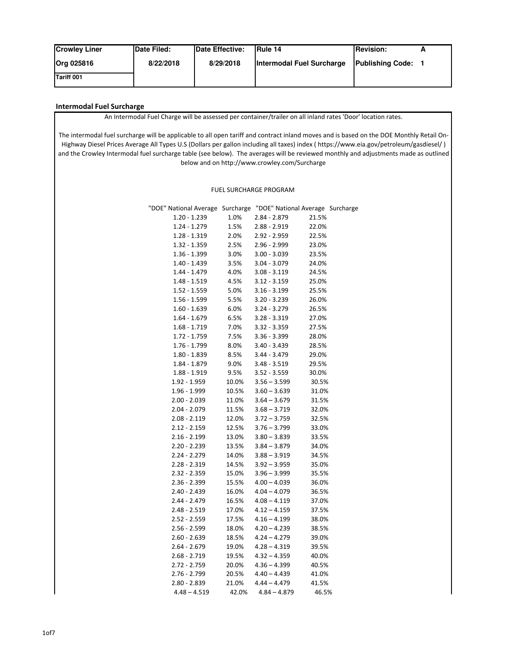| <b>Crowley Liner</b> | Date Filed: | Date Effective: | <b>IRule 14</b>           | <b>Revision:</b>        |  |
|----------------------|-------------|-----------------|---------------------------|-------------------------|--|
| Org 025816           | 8/22/2018   | 8/29/2018       | Intermodal Fuel Surcharge | <b>Publishing Code:</b> |  |
| Tariff 001           |             |                 |                           |                         |  |

## **Intermodal Fuel Surcharge**

An Intermodal Fuel Charge will be assessed per container/trailer on all inland rates 'Door' location rates.

The intermodal fuel surcharge will be applicable to all open tariff and contract inland moves and is based on the DOE Monthly Retail On-Highway Diesel Prices Average All Types U.S (Dollars per gallon including all taxes) index ( https://www.eia.gov/petroleum/gasdiesel/ ) and the Crowley Intermodal fuel surcharge table (see below). The averages will be reviewed monthly and adjustments made as outlined below and on http://www.crowley.com/Surcharge

## FUEL SURCHARGE PROGRAM

| "DOE" National Average Surcharge "DOE" National Average Surcharge |       |                |       |  |
|-------------------------------------------------------------------|-------|----------------|-------|--|
| 1.20 - 1.239                                                      | 1.0%  | 2.84 - 2.879   | 21.5% |  |
| $1.24 - 1.279$                                                    | 1.5%  | $2.88 - 2.919$ | 22.0% |  |
| $1.28 - 1.319$                                                    | 2.0%  | 2.92 - 2.959   | 22.5% |  |
| $1.32 - 1.359$                                                    | 2.5%  | $2.96 - 2.999$ | 23.0% |  |
| $1.36 - 1.399$                                                    | 3.0%  | $3.00 - 3.039$ | 23.5% |  |
| 1.40 - 1.439                                                      | 3.5%  | $3.04 - 3.079$ | 24.0% |  |
| 1.44 - 1.479                                                      | 4.0%  | $3.08 - 3.119$ | 24.5% |  |
| $1.48 - 1.519$                                                    | 4.5%  | $3.12 - 3.159$ | 25.0% |  |
| $1.52 - 1.559$                                                    | 5.0%  | $3.16 - 3.199$ | 25.5% |  |
| $1.56 - 1.599$                                                    | 5.5%  | $3.20 - 3.239$ | 26.0% |  |
| $1.60 - 1.639$                                                    | 6.0%  | $3.24 - 3.279$ | 26.5% |  |
| $1.64 - 1.679$                                                    | 6.5%  | $3.28 - 3.319$ | 27.0% |  |
| $1.68 - 1.719$                                                    | 7.0%  | $3.32 - 3.359$ | 27.5% |  |
| $1.72 - 1.759$                                                    | 7.5%  | $3.36 - 3.399$ | 28.0% |  |
| 1.76 - 1.799                                                      | 8.0%  | 3.40 - 3.439   | 28.5% |  |
| $1.80 - 1.839$                                                    | 8.5%  | $3.44 - 3.479$ | 29.0% |  |
| $1.84 - 1.879$                                                    | 9.0%  | $3.48 - 3.519$ | 29.5% |  |
| $1.88 - 1.919$                                                    | 9.5%  | $3.52 - 3.559$ | 30.0% |  |
| 1.92 - 1.959                                                      | 10.0% | $3.56 - 3.599$ | 30.5% |  |
| 1.96 - 1.999                                                      | 10.5% | $3.60 - 3.639$ | 31.0% |  |
| $2.00 - 2.039$                                                    | 11.0% | $3.64 - 3.679$ | 31.5% |  |
| 2.04 - 2.079                                                      | 11.5% | $3.68 - 3.719$ | 32.0% |  |
| 2.08 - 2.119                                                      | 12.0% | $3.72 - 3.759$ | 32.5% |  |
| $2.12 - 2.159$                                                    | 12.5% | $3.76 - 3.799$ | 33.0% |  |
| $2.16 - 2.199$                                                    | 13.0% | $3.80 - 3.839$ | 33.5% |  |
| $2.20 - 2.239$                                                    | 13.5% | $3.84 - 3.879$ | 34.0% |  |
| 2.24 - 2.279                                                      | 14.0% | $3.88 - 3.919$ | 34.5% |  |
| 2.28 - 2.319                                                      | 14.5% | $3.92 - 3.959$ | 35.0% |  |
| $2.32 - 2.359$                                                    | 15.0% | $3.96 - 3.999$ | 35.5% |  |
| 2.36 - 2.399                                                      | 15.5% | $4.00 - 4.039$ | 36.0% |  |
| 2.40 - 2.439                                                      | 16.0% | $4.04 - 4.079$ | 36.5% |  |
| $2.44 - 2.479$                                                    | 16.5% | $4.08 - 4.119$ | 37.0% |  |
| $2.48 - 2.519$                                                    | 17.0% | $4.12 - 4.159$ | 37.5% |  |
| $2.52 - 2.559$                                                    | 17.5% | $4.16 - 4.199$ | 38.0% |  |
| 2.56 - 2.599                                                      | 18.0% | $4.20 - 4.239$ | 38.5% |  |
| $2.60 - 2.639$                                                    | 18.5% | $4.24 - 4.279$ | 39.0% |  |
| $2.64 - 2.679$                                                    | 19.0% | $4.28 - 4.319$ | 39.5% |  |
| $2.68 - 2.719$                                                    | 19.5% | $4.32 - 4.359$ | 40.0% |  |
| $2.72 - 2.759$                                                    | 20.0% | $4.36 - 4.399$ | 40.5% |  |
| $2.76 - 2.799$                                                    | 20.5% | $4.40 - 4.439$ | 41.0% |  |
| 2.80 - 2.839                                                      | 21.0% | $4.44 - 4.479$ | 41.5% |  |
| $4.48 - 4.519$                                                    | 42.0% | $4.84 - 4.879$ | 46.5% |  |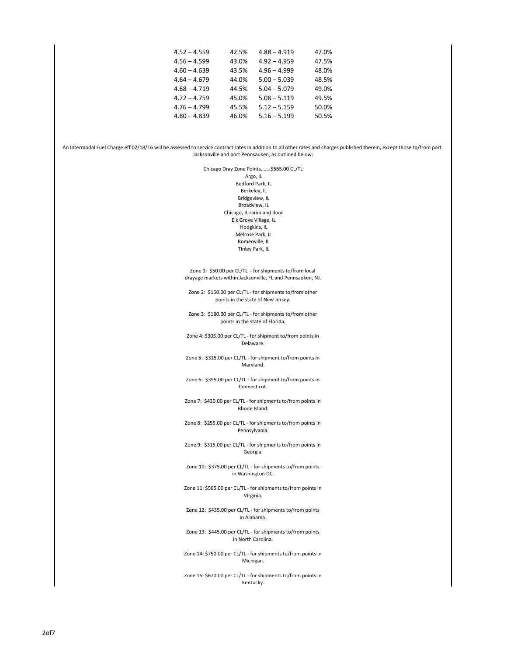|                |       |                | .     |
|----------------|-------|----------------|-------|
| $4.52 - 4.559$ | 42.5% | $4.88 - 4.919$ | 47.0% |
| $4.56 - 4.599$ | 43.0% | $4.92 - 4.959$ | 47.5% |
| $4.60 - 4.639$ | 43.5% | $4.96 - 4.999$ | 48.0% |
| $4.64 - 4.679$ | 44.0% | $5.00 - 5.039$ | 48.5% |
| $4.68 - 4.719$ | 44.5% | $5.04 - 5.079$ | 49.0% |
| $4.72 - 4.759$ | 45.0% | $5.08 - 5.119$ | 49.5% |
| $4.76 - 4.799$ | 45.5% | $5.12 - 5.159$ | 50.0% |
| $4.80 - 4.839$ | 46.0% | $5.16 - 5.199$ | 50.5% |
|                |       |                |       |

An Intermodal Fuel Charge eff 02/18/16 will be assessed to service contract rates in addition to all other rates and charges published therein, except those to/from port Jacksonville and port Pennsauken, as outlined below:

Chicago Dray Zone Points.......\$565.00 CL/TL Argo, IL Bedford Park, IL Berkeley, IL Bridgeview, IL Broadview, IL Chicago, IL ramp and door Elk Grove Village, IL Hodgkins, IL Melrose Park, IL Romeoville, IL Tinley Park, IL

Zone 1: \$50.00 per CL/TL - for shipments to/from local drayage markets within Jacksonville, FL and Pennsauken, NJ.

Zone 2: \$150.00 per CL/TL - for shipments to/from other points in the state of New Jersey.

Zone 3: \$180.00 per CL/TL - for shipments to/from other points in the state of Florida.

Zone 4: \$305.00 per CL/TL - for shipment to/from points in Delaware.

Zone 5: \$315.00 per CL/TL - for shipment to/from points in Maryland.

Zone 6: \$395.00 per CL/TL - for shipment to/from points in Connecticut.

Zone 7: \$430.00 per CL/TL - for shipments to/from points in Rhode Island.

Zone 8: \$255.00 per CL/TL - for shipments to/from points in Pennsylvania.

Zone 9: \$315.00 per CL/TL - for shipments to/from points in Georgia.

Zone 10: \$375.00 per CL/TL - for shipments to/from points in Washington DC.

Zone 11: \$565.00 per CL/TL - for shipments to/from points in Virginia.

Zone 12: \$435.00 per CL/TL - for shipments to/from points in Alabama.

Zone 13: \$445.00 per CL/TL - for shipments to/from points in North Carolina.

Zone 14: \$750.00 per CL/TL - for shipments to/from points in Michigan.

Zone 15: \$670.00 per CL/TL - for shipments to/from points in Kentucky.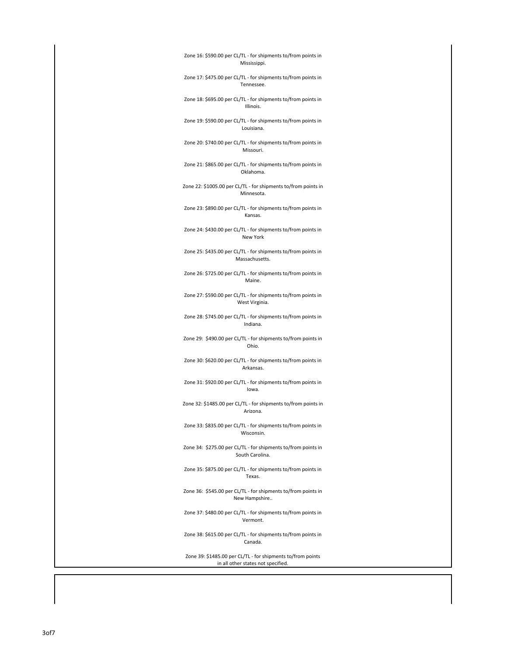## Zone 16: \$590.00 per CL/TL - for shipments to/from points in Mississippi.

Zone 17: \$475.00 per CL/TL - for shipments to/from points in Tennessee.

Zone 18: \$695.00 per CL/TL - for shipments to/from points in Illinois.

Zone 19: \$590.00 per CL/TL - for shipments to/from points in Louisiana.

Zone 20: \$740.00 per CL/TL - for shipments to/from points in Missouri.

Zone 21: \$865.00 per CL/TL - for shipments to/from points in Oklahoma.

Zone 22: \$1005.00 per CL/TL - for shipments to/from points in Minnesota.

Zone 23: \$890.00 per CL/TL - for shipments to/from points in Kansas.

Zone 24: \$430.00 per CL/TL - for shipments to/from points in New York

Zone 25: \$435.00 per CL/TL - for shipments to/from points in Massachusetts.

Zone 26: \$725.00 per CL/TL - for shipments to/from points in Maine.

Zone 27: \$590.00 per CL/TL - for shipments to/from points in West Virginia.

Zone 28: \$745.00 per CL/TL - for shipments to/from points in Indiana.

Zone 29: \$490.00 per CL/TL - for shipments to/from points in Ohio.

Zone 30: \$620.00 per CL/TL - for shipments to/from points in Arkansas.

Zone 31: \$920.00 per CL/TL - for shipments to/from points in Iowa.

Zone 32: \$1485.00 per CL/TL - for shipments to/from points in Arizona.

Zone 33: \$835.00 per CL/TL - for shipments to/from points in Wisconsin.

Zone 34: \$275.00 per CL/TL - for shipments to/from points in South Carolina.

Zone 35: \$875.00 per CL/TL - for shipments to/from points in Texas.

Zone 36: \$545.00 per CL/TL - for shipments to/from points in New Hampshire..

Zone 37: \$480.00 per CL/TL - for shipments to/from points in Vermont.

Zone 38: \$615.00 per CL/TL - for shipments to/from points in Canada.

Zone 39: \$1485.00 per CL/TL - for shipments to/from points in all other states not specified.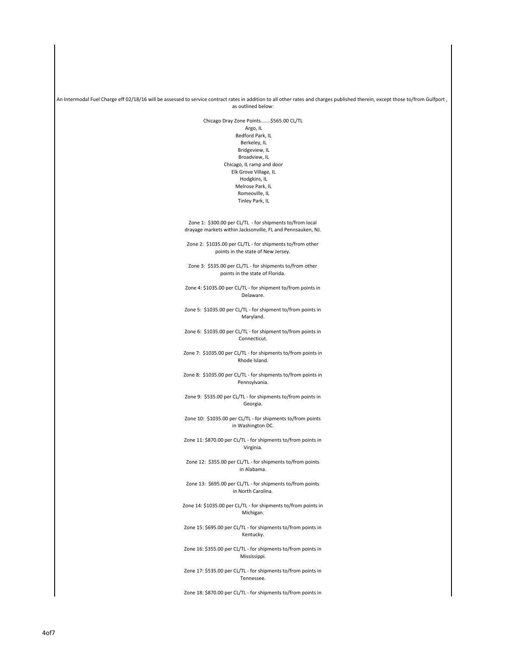An Intermodal Fuel Charge eff 02/18/16 will be assessed to service contract rates in addition to all other rates and charges published therein, except those to/from Gulfport, as outlined below:

Chicago Dray Zone Points.......\$565.00 CL/TL

 Argo, IL Bedford Park, IL Berkeley, IL Bridgeview, IL Broadview, IL Chicago, IL ramp and door Elk Grove Village, IL Hodgkins, IL Melrose Park, IL Romeoville, IL Tinley Park, IL

Zone 1: \$300.00 per CL/TL - for shipments to/from local drayage markets within Jacksonville, FL and Pennsauken, NJ.

Zone 2: \$1035.00 per CL/TL - for shipments to/from other points in the state of New Jersey.

Zone 3: \$535.00 per CL/TL - for shipments to/from other points in the state of Florida.

Zone 4: \$1035.00 per CL/TL - for shipment to/from points in Delaware.

Zone 5: \$1035.00 per CL/TL - for shipment to/from points in Maryland.

Zone 6: \$1035.00 per CL/TL - for shipment to/from points in Connecticut.

Zone 7: \$1035.00 per CL/TL - for shipments to/from points in Rhode Island.

Zone 8: \$1035.00 per CL/TL - for shipments to/from points in Pennsylvania.

Zone 9: \$535.00 per CL/TL - for shipments to/from points in Georgia.

Zone 10: \$1035.00 per CL/TL - for shipments to/from points in Washington DC.

Zone 11: \$870.00 per CL/TL - for shipments to/from points in Virginia.

Zone 12: \$355.00 per CL/TL - for shipments to/from points in Alabama.

Zone 13: \$695.00 per CL/TL - for shipments to/from points in North Carolina.

Zone 14: \$1035.00 per CL/TL - for shipments to/from points in Michigan.

Zone 15: \$695.00 per CL/TL - for shipments to/from points in Kentucky.

Zone 16: \$355.00 per CL/TL - for shipments to/from points in Mississippi.

Zone 17: \$535.00 per CL/TL - for shipments to/from points in Tennessee.

Zone 18: \$870.00 per CL/TL - for shipments to/from points in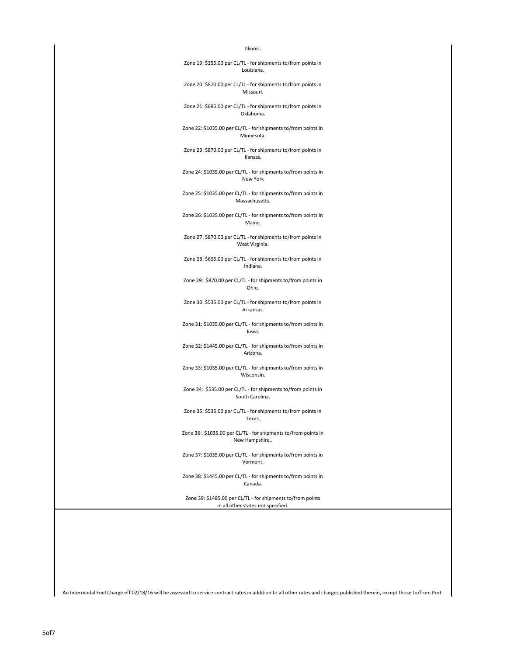## Illinois.

Zone 19: \$355.00 per CL/TL - for shipments to/from points in Louisiana.

Zone 20: \$870.00 per CL/TL - for shipments to/from points in Missouri.

Zone 21: \$695.00 per CL/TL - for shipments to/from points in Oklahoma.

Zone 22: \$1035.00 per CL/TL - for shipments to/from points in Minnesota.

Zone 23: \$870.00 per CL/TL - for shipments to/from points in Kansas.

Zone 24: \$1035.00 per CL/TL - for shipments to/from points in New York

Zone 25: \$1035.00 per CL/TL - for shipments to/from points in Massachusetts.

Zone 26: \$1035.00 per CL/TL - for shipments to/from points in Maine.

Zone 27: \$870.00 per CL/TL - for shipments to/from points in West Virginia.

Zone 28: \$695.00 per CL/TL - for shipments to/from points in Indiana.

Zone 29: \$870.00 per CL/TL - for shipments to/from points in Ohio.

Zone 30: \$535.00 per CL/TL - for shipments to/from points in Arkansas.

Zone 31: \$1035.00 per CL/TL - for shipments to/from points in Iowa.

Zone 32: \$1445.00 per CL/TL - for shipments to/from points in Arizona.

Zone 33: \$1035.00 per CL/TL - for shipments to/from points in Wisconsin.

Zone 34: \$535.00 per CL/TL - for shipments to/from points in South Carolina.

Zone 35: \$535.00 per CL/TL - for shipments to/from points in Texas.

Zone 36: \$1035.00 per CL/TL - for shipments to/from points in New Hampshire..

Zone 37: \$1035.00 per CL/TL - for shipments to/from points in Vermont.

Zone 38: \$1445.00 per CL/TL - for shipments to/from points in Canada.

Zone 39: \$1485.00 per CL/TL - for shipments to/from points in all other states not specified.

An Intermodal Fuel Charge eff 02/18/16 will be assessed to service contract rates in addition to all other rates and charges published therein, except those to/from Port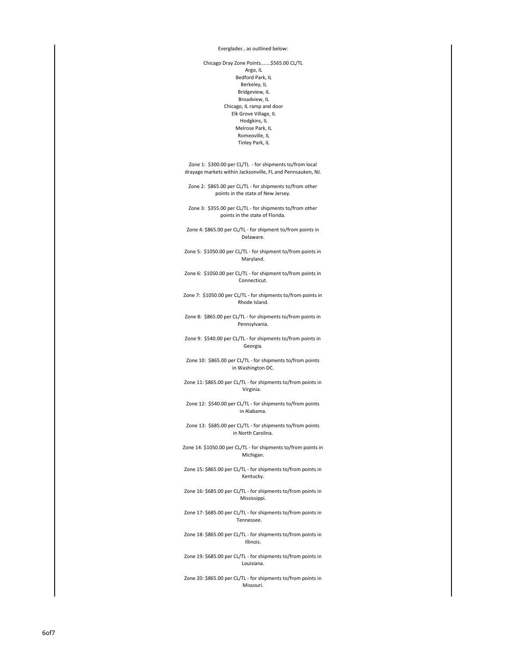Everglades , as outlined below:

Chicago Dray Zone Points.......\$565.00 CL/TL Argo, IL Bedford Park, IL Berkeley, IL Bridgeview, IL Broadview, IL Chicago, IL ramp and door Elk Grove Village, IL Hodgkins, IL Melrose Park, IL Romeoville, IL Tinley Park, IL

Zone 1: \$300.00 per CL/TL - for shipments to/from local drayage markets within Jacksonville, FL and Pennsauken, NJ.

Zone 2: \$865.00 per CL/TL - for shipments to/from other points in the state of New Jersey.

Zone 3: \$355.00 per CL/TL - for shipments to/from other points in the state of Florida.

Zone 4: \$865.00 per CL/TL - for shipment to/from points in Delaware.

Zone 5: \$1050.00 per CL/TL - for shipment to/from points in Maryland.

Zone 6: \$1050.00 per CL/TL - for shipment to/from points in Connecticut.

Zone 7: \$1050.00 per CL/TL - for shipments to/from points in Rhode Island.

Zone 8: \$865.00 per CL/TL - for shipments to/from points in Pennsylvania.

Zone 9: \$540.00 per CL/TL - for shipments to/from points in Georgia.

Zone 10: \$865.00 per CL/TL - for shipments to/from points in Washington DC.

Zone 11: \$865.00 per CL/TL - for shipments to/from points in Virginia.

Zone 12: \$540.00 per CL/TL - for shipments to/from points in Alabama.

Zone 13: \$685.00 per CL/TL - for shipments to/from points in North Carolina.

Zone 14: \$1050.00 per CL/TL - for shipments to/from points in Michigan.

Zone 15: \$865.00 per CL/TL - for shipments to/from points in Kentucky.

Zone 16: \$685.00 per CL/TL - for shipments to/from points in Mississippi.

Zone 17: \$685.00 per CL/TL - for shipments to/from points in Tennessee.

Zone 18: \$865.00 per CL/TL - for shipments to/from points in Illinois.

Zone 19: \$685.00 per CL/TL - for shipments to/from points in Louisiana.

Zone 20: \$865.00 per CL/TL - for shipments to/from points in Missouri.